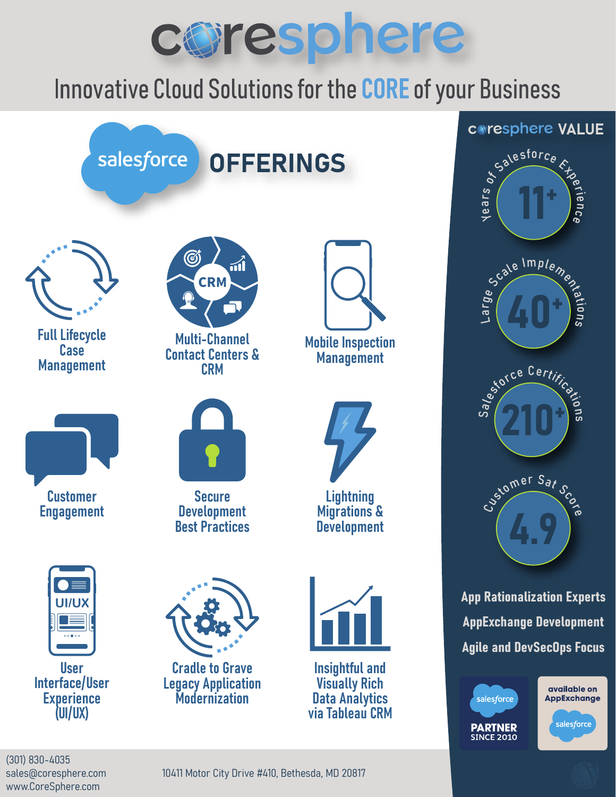

## **Innovative Cloud Solutions for the CORE of your Business**



(301) 830-4035 sales@coresphere.com www.CoreSphere.com

10411 Motor City Drive #410, Bethesda, MD 20817